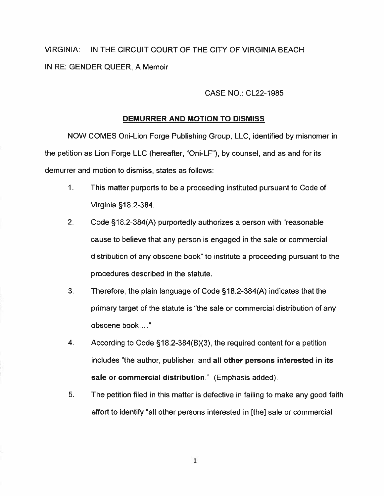VIRGINIA: IN THE CIRCUIT COURT OF THE CITY OF VIRGINIA BEACH IN RE: GENDER QUEER, A Memoir

## CASE NO.: CL22-1985

## DEMURRER AND MOTION TO DISMISS

NOW COMES Oni-Lion Forge Publishing Group, LLC, identified by misnomer in the petition as Lion Forge LLC (hereafter, "Oni-LF"), by counsel, and as and for its demurrer and motion to dismiss, states as follows:

- 1. This matter purports to be <sup>a</sup> proceeding instituted pursuan<sup>t</sup> to Code of Virginia §18.2-384.
- 2. Code §18.2-384(A) purportedly authorizes <sup>a</sup> person with "reasonable cause to believe that any person is engaged in the sale or commercial distribution of any obscene book" to institute <sup>a</sup> proceeding pursuan<sup>t</sup> to the procedures described in the statute.
- 3. Therefore, the plain language of Code §18.2-384(A) indicates that the primary target of the statute is "the sale or commercial distribution of any obscene book
- 4. According to Code §18.2-384(B)(3), the required content for <sup>a</sup> petition includes "the author, publisher, and all other persons interested in its sale or commercial distribution." (Emphasis added).
- 5. The petition filed in this matter is defective in failing to make any good faith effort to identify "all other persons interested in [the] sale or commercial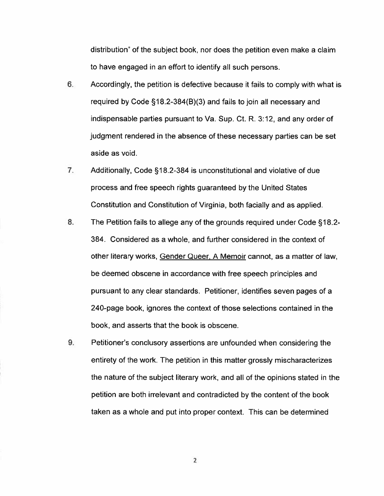distribution" of the subject book, nor does the petition even make <sup>a</sup> claim to have engaged in an effort to identify all such persons.

- 6. Accordingly, the petition is defective because it fails to comply with what is required by Code §18.2-384(B)(3) and fails to join all necessary and indispensable parties pursuan<sup>t</sup> to Va. Sup. Ct. R. 3:12, and any order of judgment rendered in the absence of these necessary parties can be set aside as void.
- 7. Additionally, Code §18.2-384 is unconstitutional and violative of due process and free speech rights guaranteed by the United States Constitution and Constitution of Virginia, both facially and as applied.
- 8. The Petition fails to allege any of the grounds required under Code §18.2- 384. Considered as <sup>a</sup> whole, and further considered in the context of other literary works, Gender Queer, A Memoir cannot, as <sup>a</sup> matter of law, be deemed obscene in accordance with free speech principles and pursuan<sup>t</sup> to any clear standards. Petitioner, identifies seven pages of <sup>a</sup> 240-page book, ignores the context of those selections contained in the book, and asserts that the book is obscene.
- 9. Petitioner's conclusory assertions are unfounded when considering the entirety of the work. The petition in this matter grossly mischaracterizes the nature of the subject literary work, and all of the opinions stated in the petition are both irrelevant and contradicted by the content of the book taken as <sup>a</sup> whole and pu<sup>t</sup> into proper context. This can be determined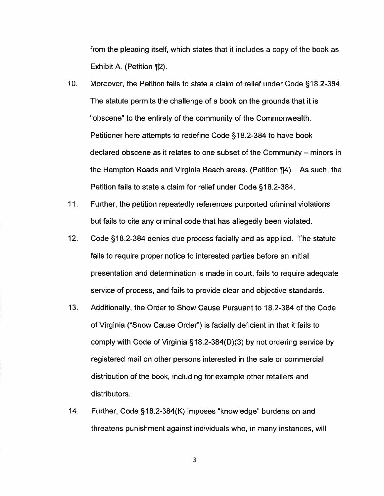from the pleading itself, which states that it includes a copy of the book as Exhibit A. (Petition ¶2).

- 10. Moreover, the Petition fails to state <sup>a</sup> claim of relief under Code §18.2-384. The statute permits the challenge of <sup>a</sup> book on the grounds that it is "obscene' to the entirety of the community of the Commonwealth. Petitioner here attempts to redefine Code §18.2-384 to have book declared obscene as it relates to one subset of the Community — minors in the Hampton Roads and Virginia Beach areas. (Petition ¶4). As such, the Petition fails to state <sup>a</sup> claim for relief under Code §18.2-384.
- 11. Further, the petition repeatedly references purported criminal violations but fails to cite any criminal code that has allegedly been violated.
- 12. Code §18.2-384 denies due process facially and as applied. The statute fails to require proper notice to interested parties before an initial presentation and determination is made in court, fails to require adequate service of process, and fails to provide clear and objective standards.
- 13. Additionally, the Order to Show Cause Pursuant to 18.2-384 of the Code of Virginia ("Show Cause Order") is facially deficient in that it fails to comply with Code of Virginia §1 8.2-384(D)(3) by not ordering service by registered mail on other persons interested in the sale or commercial distribution of the book, including for example other retailers and distributors.
- 14. Further, Code §18.2-384(K) imposes "knowledge" burdens on and threatens punishment against individuals who, in many instances, will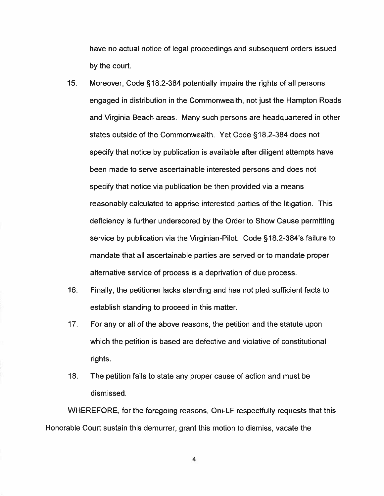have no actual notice of legal proceedings and subsequent orders issued by the court.

- 15. Moreover, Code §18.2-384 potentially impairs the rights of all persons engaged in distribution in the Commonwealth, not just the Hampton Roads and Virginia Beach areas. Many such persons are headquartered in other states outside of the Commonwealth. Yet Code §18.2-384 does not specify that notice by publication is available after diligent attempts have been made to serve ascertainable interested persons and does not specify that notice via publication be then provided via <sup>a</sup> means reasonably calculated to apprise interested parties of the litigation. This deficiency is further underscored by the Order to Show Cause permitting service by publication via the Virginian-Pilot. Code §18.2-384's failure to mandate that all ascertainable parties are served or to mandate proper alternative service of process is <sup>a</sup> deprivation of due process.
- 16. Finally, the petitioner lacks standing and has not pled sufficient facts to establish standing to proceed in this matter.
- 17. For any or all of the above reasons, the petition and the statute upon which the petition is based are defective and violative of constitutional rights.
- 18. The petition fails to state any proper cause of action and must be dismissed.

WHEREFORE, for the foregoing reasons, Oni-LF respectfully requests that this Honorable Court sustain this demurrer, gran<sup>t</sup> this motion to dismiss, vacate the